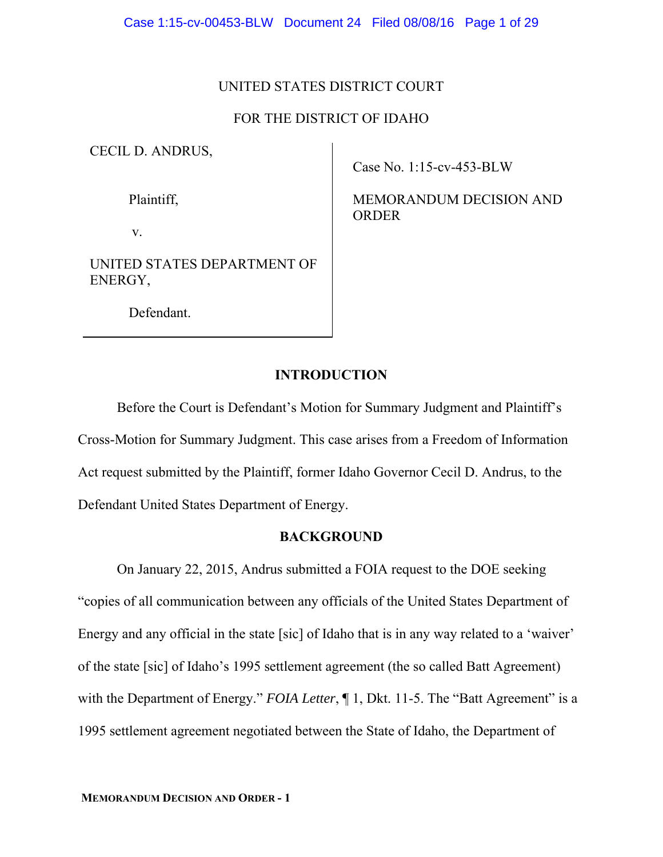### UNITED STATES DISTRICT COURT

## FOR THE DISTRICT OF IDAHO

CECIL D. ANDRUS,

Plaintiff,

v.

UNITED STATES DEPARTMENT OF ENERGY,

Case No. 1:15-cv-453-BLW

MEMORANDUM DECISION AND ORDER

Defendant.

## **INTRODUCTION**

Before the Court is Defendant's Motion for Summary Judgment and Plaintiff's Cross-Motion for Summary Judgment. This case arises from a Freedom of Information Act request submitted by the Plaintiff, former Idaho Governor Cecil D. Andrus, to the Defendant United States Department of Energy.

### **BACKGROUND**

 On January 22, 2015, Andrus submitted a FOIA request to the DOE seeking "copies of all communication between any officials of the United States Department of Energy and any official in the state [sic] of Idaho that is in any way related to a 'waiver' of the state [sic] of Idaho's 1995 settlement agreement (the so called Batt Agreement) with the Department of Energy." *FOIA Letter*,  $\P 1$ , Dkt. 11-5. The "Batt Agreement" is a 1995 settlement agreement negotiated between the State of Idaho, the Department of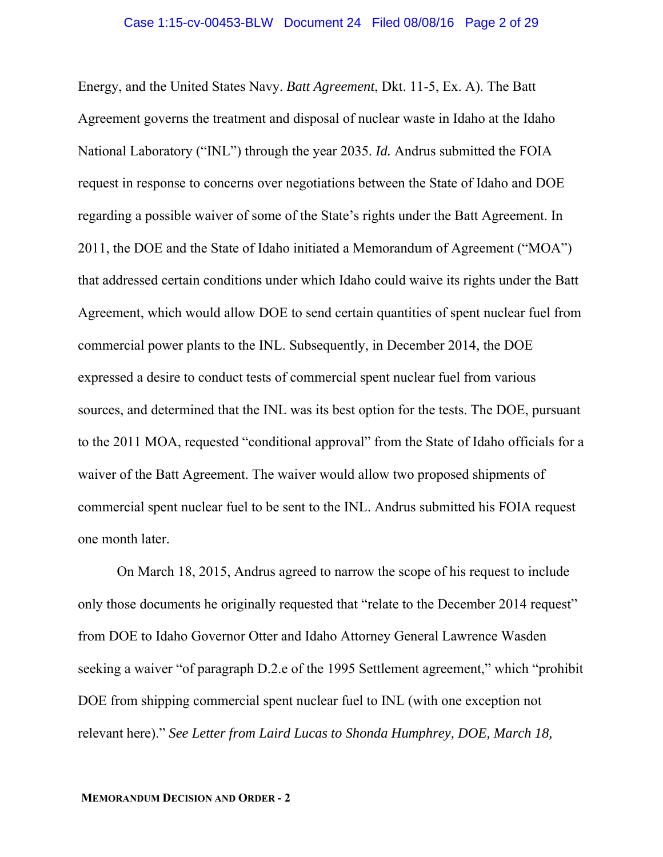Energy, and the United States Navy. *Batt Agreement*, Dkt. 11-5, Ex. A). The Batt Agreement governs the treatment and disposal of nuclear waste in Idaho at the Idaho National Laboratory ("INL") through the year 2035. *Id.* Andrus submitted the FOIA request in response to concerns over negotiations between the State of Idaho and DOE regarding a possible waiver of some of the State's rights under the Batt Agreement. In 2011, the DOE and the State of Idaho initiated a Memorandum of Agreement ("MOA") that addressed certain conditions under which Idaho could waive its rights under the Batt Agreement, which would allow DOE to send certain quantities of spent nuclear fuel from commercial power plants to the INL. Subsequently, in December 2014, the DOE expressed a desire to conduct tests of commercial spent nuclear fuel from various sources, and determined that the INL was its best option for the tests. The DOE, pursuant to the 2011 MOA, requested "conditional approval" from the State of Idaho officials for a waiver of the Batt Agreement. The waiver would allow two proposed shipments of commercial spent nuclear fuel to be sent to the INL. Andrus submitted his FOIA request one month later.

 On March 18, 2015, Andrus agreed to narrow the scope of his request to include only those documents he originally requested that "relate to the December 2014 request" from DOE to Idaho Governor Otter and Idaho Attorney General Lawrence Wasden seeking a waiver "of paragraph D.2.e of the 1995 Settlement agreement," which "prohibit DOE from shipping commercial spent nuclear fuel to INL (with one exception not relevant here)." *See Letter from Laird Lucas to Shonda Humphrey, DOE, March 18,*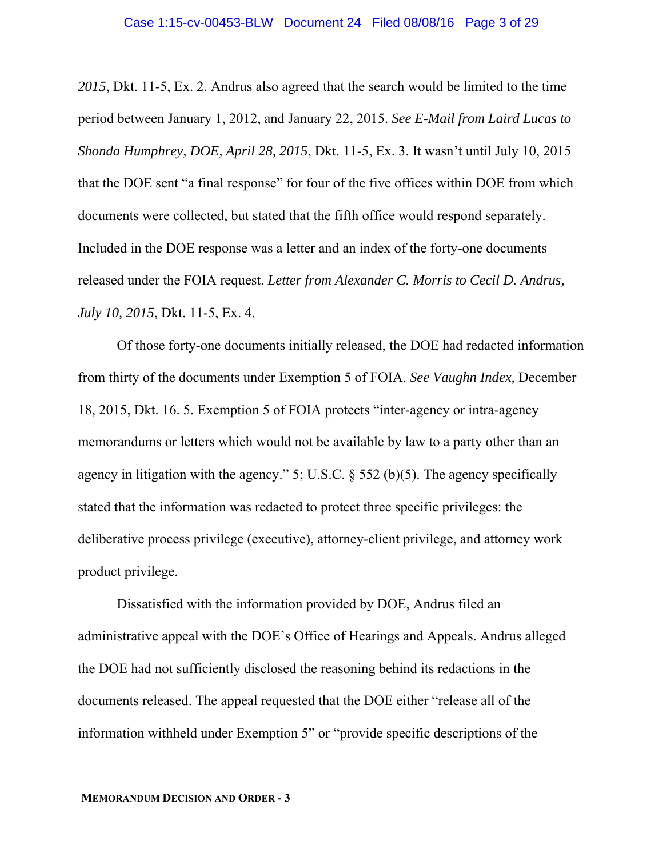*2015*, Dkt. 11-5, Ex. 2. Andrus also agreed that the search would be limited to the time period between January 1, 2012, and January 22, 2015. *See E-Mail from Laird Lucas to Shonda Humphrey, DOE, April 28, 2015*, Dkt. 11-5, Ex. 3. It wasn't until July 10, 2015 that the DOE sent "a final response" for four of the five offices within DOE from which documents were collected, but stated that the fifth office would respond separately. Included in the DOE response was a letter and an index of the forty-one documents released under the FOIA request. *Letter from Alexander C. Morris to Cecil D. Andrus, July 10, 2015*, Dkt. 11-5, Ex. 4.

Of those forty-one documents initially released, the DOE had redacted information from thirty of the documents under Exemption 5 of FOIA. *See Vaughn Index*, December 18, 2015, Dkt. 16. 5. Exemption 5 of FOIA protects "inter-agency or intra-agency memorandums or letters which would not be available by law to a party other than an agency in litigation with the agency." 5; U.S.C. § 552 (b)(5). The agency specifically stated that the information was redacted to protect three specific privileges: the deliberative process privilege (executive), attorney-client privilege, and attorney work product privilege.

Dissatisfied with the information provided by DOE, Andrus filed an administrative appeal with the DOE's Office of Hearings and Appeals. Andrus alleged the DOE had not sufficiently disclosed the reasoning behind its redactions in the documents released. The appeal requested that the DOE either "release all of the information withheld under Exemption 5" or "provide specific descriptions of the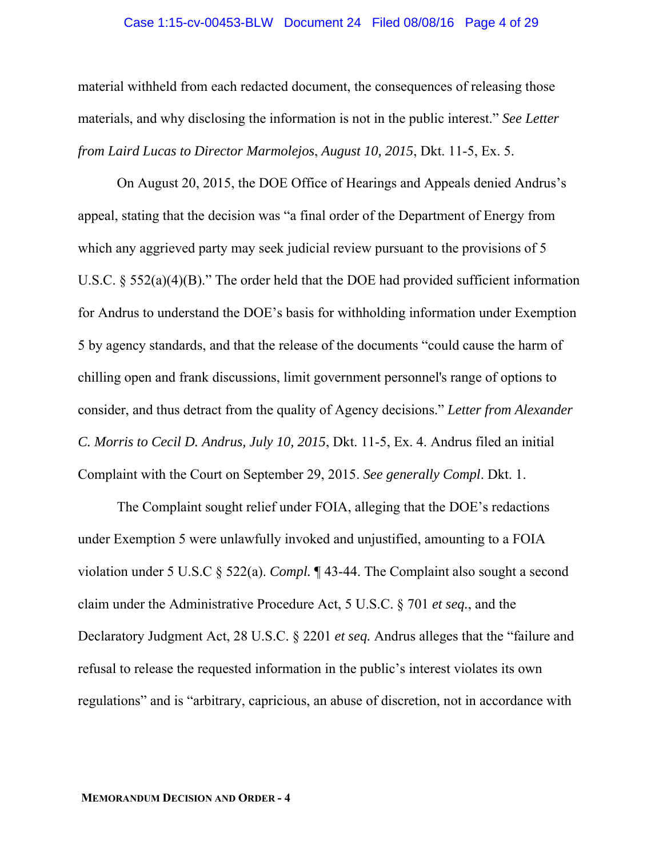#### Case 1:15-cv-00453-BLW Document 24 Filed 08/08/16 Page 4 of 29

material withheld from each redacted document, the consequences of releasing those materials, and why disclosing the information is not in the public interest." *See Letter from Laird Lucas to Director Marmolejos*, *August 10, 2015*, Dkt. 11-5, Ex. 5.

On August 20, 2015, the DOE Office of Hearings and Appeals denied Andrus's appeal, stating that the decision was "a final order of the Department of Energy from which any aggrieved party may seek judicial review pursuant to the provisions of 5 U.S.C.  $\S$  552(a)(4)(B)." The order held that the DOE had provided sufficient information for Andrus to understand the DOE's basis for withholding information under Exemption 5 by agency standards, and that the release of the documents "could cause the harm of chilling open and frank discussions, limit government personnel's range of options to consider, and thus detract from the quality of Agency decisions." *Letter from Alexander C. Morris to Cecil D. Andrus, July 10, 2015*, Dkt. 11-5, Ex. 4. Andrus filed an initial Complaint with the Court on September 29, 2015. *See generally Compl*. Dkt. 1.

The Complaint sought relief under FOIA, alleging that the DOE's redactions under Exemption 5 were unlawfully invoked and unjustified, amounting to a FOIA violation under 5 U.S.C § 522(a). *Compl.* ¶ 43-44. The Complaint also sought a second claim under the Administrative Procedure Act, 5 U.S.C. § 701 *et seq.*, and the Declaratory Judgment Act, 28 U.S.C. § 2201 *et seq.* Andrus alleges that the "failure and refusal to release the requested information in the public's interest violates its own regulations" and is "arbitrary, capricious, an abuse of discretion, not in accordance with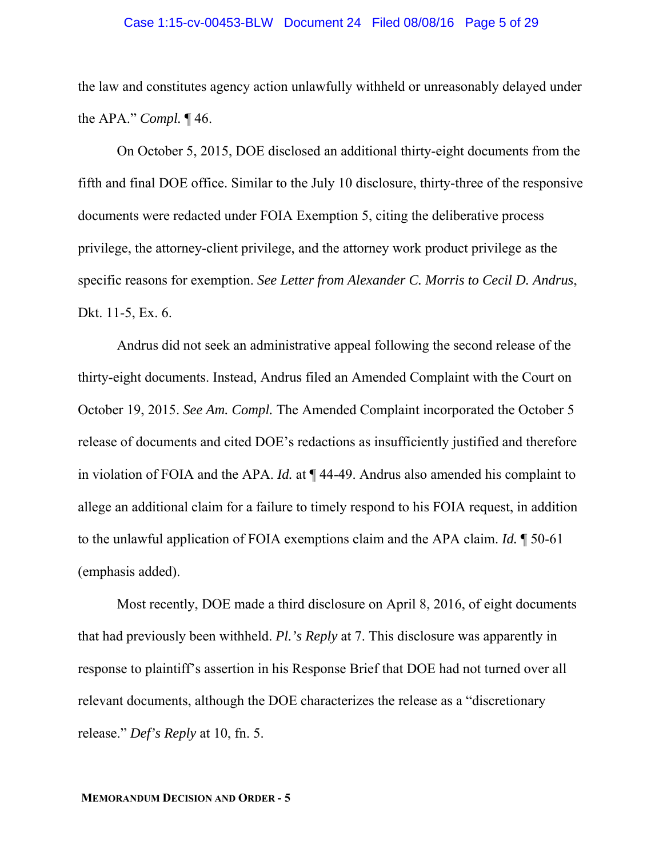#### Case 1:15-cv-00453-BLW Document 24 Filed 08/08/16 Page 5 of 29

the law and constitutes agency action unlawfully withheld or unreasonably delayed under the APA." *Compl.* ¶ 46.

On October 5, 2015, DOE disclosed an additional thirty-eight documents from the fifth and final DOE office. Similar to the July 10 disclosure, thirty-three of the responsive documents were redacted under FOIA Exemption 5, citing the deliberative process privilege, the attorney-client privilege, and the attorney work product privilege as the specific reasons for exemption. *See Letter from Alexander C. Morris to Cecil D. Andrus*, Dkt. 11-5, Ex. 6.

Andrus did not seek an administrative appeal following the second release of the thirty-eight documents. Instead, Andrus filed an Amended Complaint with the Court on October 19, 2015. *See Am. Compl.* The Amended Complaint incorporated the October 5 release of documents and cited DOE's redactions as insufficiently justified and therefore in violation of FOIA and the APA. *Id.* at ¶ 44-49. Andrus also amended his complaint to allege an additional claim for a failure to timely respond to his FOIA request, in addition to the unlawful application of FOIA exemptions claim and the APA claim. *Id.* ¶ 50-61 (emphasis added).

Most recently, DOE made a third disclosure on April 8, 2016, of eight documents that had previously been withheld. *Pl.'s Reply* at 7. This disclosure was apparently in response to plaintiff's assertion in his Response Brief that DOE had not turned over all relevant documents, although the DOE characterizes the release as a "discretionary release." *Def's Reply* at 10, fn. 5.

#### **MEMORANDUM DECISION AND ORDER - 5**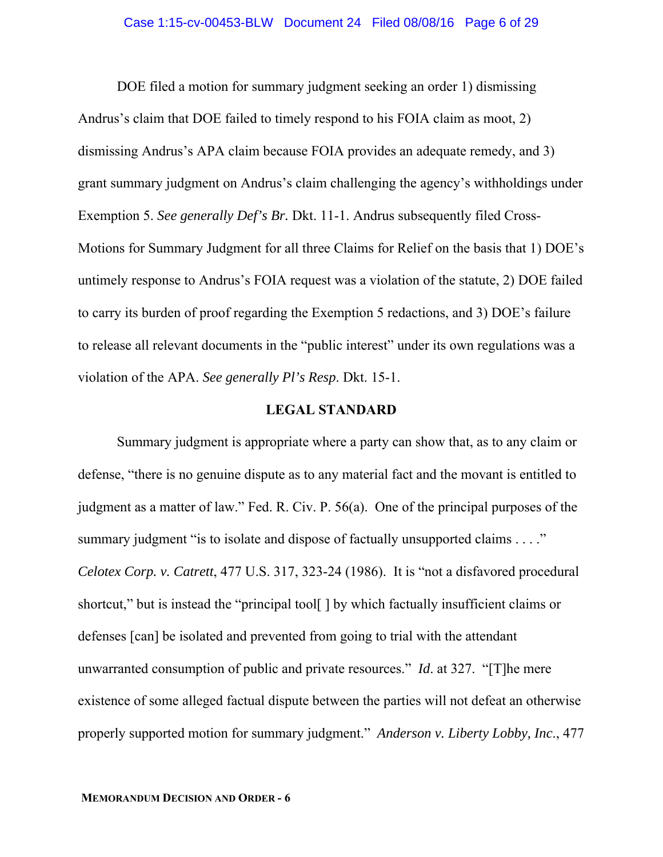DOE filed a motion for summary judgment seeking an order 1) dismissing Andrus's claim that DOE failed to timely respond to his FOIA claim as moot, 2) dismissing Andrus's APA claim because FOIA provides an adequate remedy, and 3) grant summary judgment on Andrus's claim challenging the agency's withholdings under Exemption 5. *See generally Def's Br.* Dkt. 11-1. Andrus subsequently filed Cross-Motions for Summary Judgment for all three Claims for Relief on the basis that 1) DOE's untimely response to Andrus's FOIA request was a violation of the statute, 2) DOE failed to carry its burden of proof regarding the Exemption 5 redactions, and 3) DOE's failure to release all relevant documents in the "public interest" under its own regulations was a violation of the APA. *See generally Pl's Resp*. Dkt. 15-1.

## **LEGAL STANDARD**

 Summary judgment is appropriate where a party can show that, as to any claim or defense, "there is no genuine dispute as to any material fact and the movant is entitled to judgment as a matter of law." Fed. R. Civ. P. 56(a). One of the principal purposes of the summary judgment "is to isolate and dispose of factually unsupported claims . . . ." *Celotex Corp. v. Catrett*, 477 U.S. 317, 323-24 (1986). It is "not a disfavored procedural shortcut," but is instead the "principal tool[ ] by which factually insufficient claims or defenses [can] be isolated and prevented from going to trial with the attendant unwarranted consumption of public and private resources." *Id*. at 327. "[T]he mere existence of some alleged factual dispute between the parties will not defeat an otherwise properly supported motion for summary judgment." *Anderson v. Liberty Lobby, Inc*., 477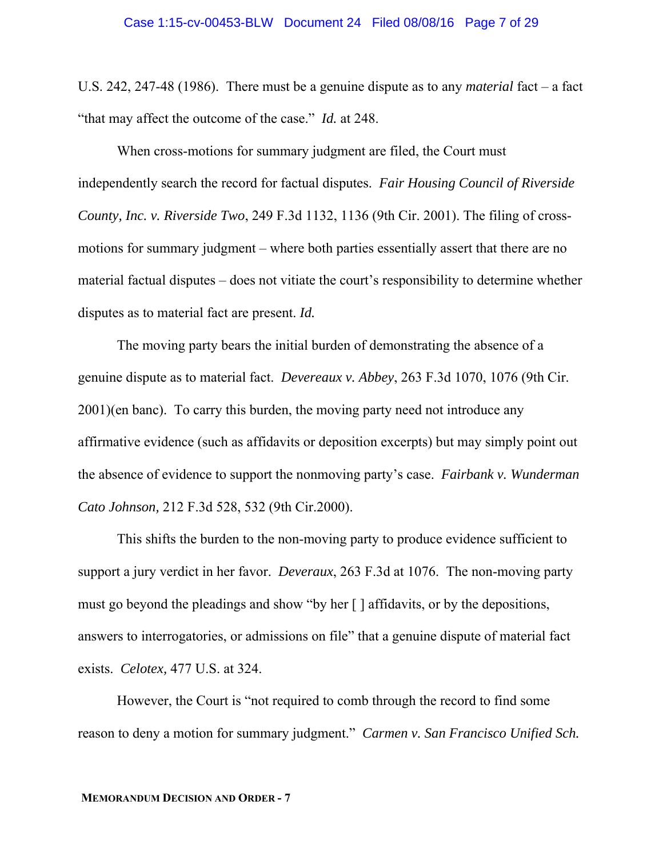U.S. 242, 247-48 (1986). There must be a genuine dispute as to any *material* fact – a fact "that may affect the outcome of the case." *Id.* at 248.

 When cross-motions for summary judgment are filed, the Court must independently search the record for factual disputes. *Fair Housing Council of Riverside County, Inc. v. Riverside Two*, 249 F.3d 1132, 1136 (9th Cir. 2001). The filing of crossmotions for summary judgment – where both parties essentially assert that there are no material factual disputes – does not vitiate the court's responsibility to determine whether disputes as to material fact are present. *Id.*

 The moving party bears the initial burden of demonstrating the absence of a genuine dispute as to material fact. *Devereaux v. Abbey*, 263 F.3d 1070, 1076 (9th Cir. 2001)(en banc). To carry this burden, the moving party need not introduce any affirmative evidence (such as affidavits or deposition excerpts) but may simply point out the absence of evidence to support the nonmoving party's case. *Fairbank v. Wunderman Cato Johnson,* 212 F.3d 528, 532 (9th Cir.2000).

 This shifts the burden to the non-moving party to produce evidence sufficient to support a jury verdict in her favor. *Deveraux*, 263 F.3d at 1076. The non-moving party must go beyond the pleadings and show "by her [ ] affidavits, or by the depositions, answers to interrogatories, or admissions on file" that a genuine dispute of material fact exists. *Celotex,* 477 U.S. at 324.

 However, the Court is "not required to comb through the record to find some reason to deny a motion for summary judgment." *Carmen v. San Francisco Unified Sch.*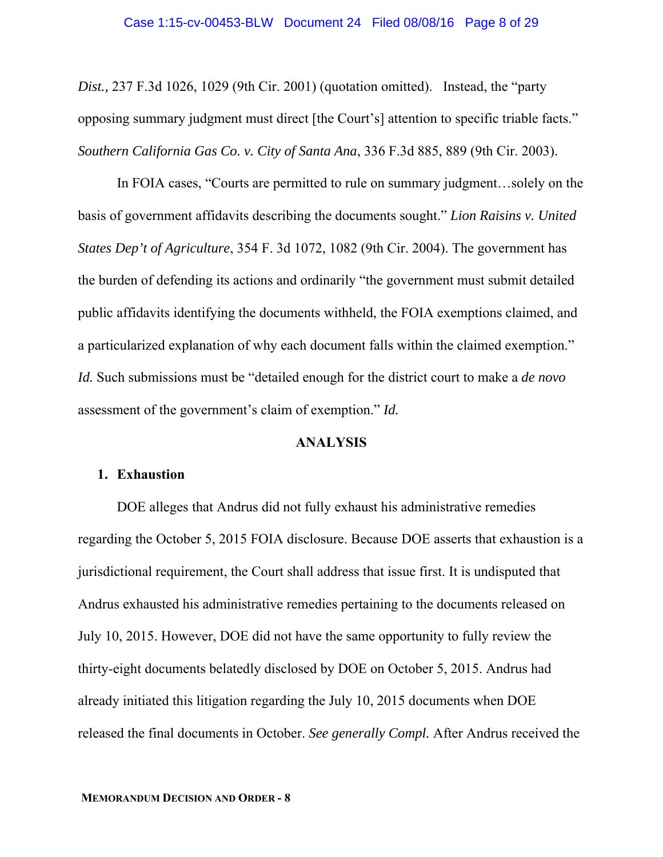*Dist.,* 237 F.3d 1026, 1029 (9th Cir. 2001) (quotation omitted). Instead, the "party opposing summary judgment must direct [the Court's] attention to specific triable facts." *Southern California Gas Co. v. City of Santa Ana*, 336 F.3d 885, 889 (9th Cir. 2003).

 In FOIA cases, "Courts are permitted to rule on summary judgment…solely on the basis of government affidavits describing the documents sought." *Lion Raisins v. United States Dep't of Agriculture*, 354 F. 3d 1072, 1082 (9th Cir. 2004). The government has the burden of defending its actions and ordinarily "the government must submit detailed public affidavits identifying the documents withheld, the FOIA exemptions claimed, and a particularized explanation of why each document falls within the claimed exemption." *Id.* Such submissions must be "detailed enough for the district court to make a *de novo* assessment of the government's claim of exemption." *Id.*

## **ANALYSIS**

### **1. Exhaustion**

DOE alleges that Andrus did not fully exhaust his administrative remedies regarding the October 5, 2015 FOIA disclosure. Because DOE asserts that exhaustion is a jurisdictional requirement, the Court shall address that issue first. It is undisputed that Andrus exhausted his administrative remedies pertaining to the documents released on July 10, 2015. However, DOE did not have the same opportunity to fully review the thirty-eight documents belatedly disclosed by DOE on October 5, 2015. Andrus had already initiated this litigation regarding the July 10, 2015 documents when DOE released the final documents in October. *See generally Compl.* After Andrus received the

#### **MEMORANDUM DECISION AND ORDER - 8**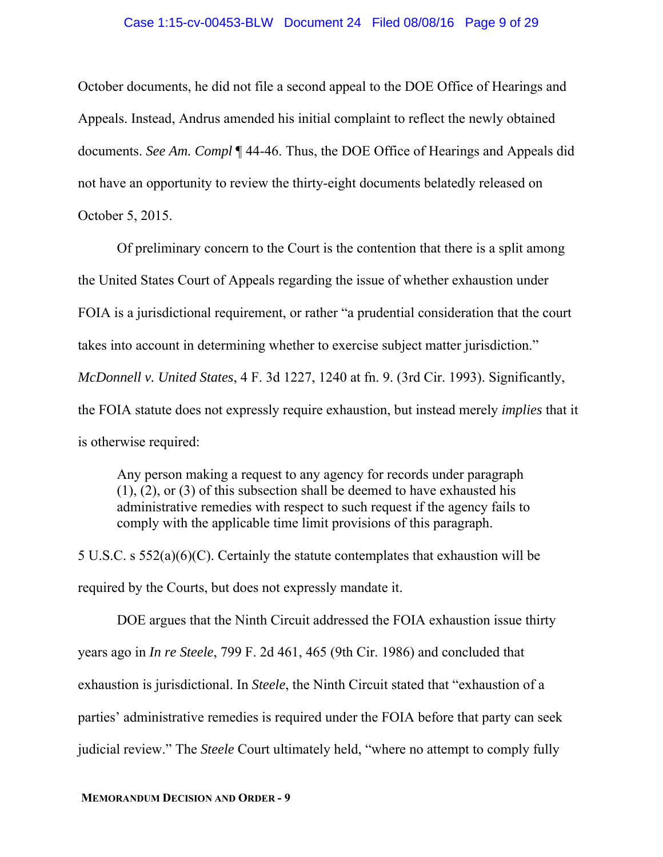#### Case 1:15-cv-00453-BLW Document 24 Filed 08/08/16 Page 9 of 29

October documents, he did not file a second appeal to the DOE Office of Hearings and Appeals. Instead, Andrus amended his initial complaint to reflect the newly obtained documents. *See Am. Compl* ¶ 44-46. Thus, the DOE Office of Hearings and Appeals did not have an opportunity to review the thirty-eight documents belatedly released on October 5, 2015.

Of preliminary concern to the Court is the contention that there is a split among the United States Court of Appeals regarding the issue of whether exhaustion under FOIA is a jurisdictional requirement, or rather "a prudential consideration that the court takes into account in determining whether to exercise subject matter jurisdiction." *McDonnell v. United States*, 4 F. 3d 1227, 1240 at fn. 9. (3rd Cir. 1993). Significantly, the FOIA statute does not expressly require exhaustion, but instead merely *implies* that it is otherwise required:

Any person making a request to any agency for records under paragraph (1), (2), or (3) of this subsection shall be deemed to have exhausted his administrative remedies with respect to such request if the agency fails to comply with the applicable time limit provisions of this paragraph.

5 U.S.C. s 552(a)(6)(C). Certainly the statute contemplates that exhaustion will be required by the Courts, but does not expressly mandate it.

DOE argues that the Ninth Circuit addressed the FOIA exhaustion issue thirty years ago in *In re Steele*, 799 F. 2d 461, 465 (9th Cir. 1986) and concluded that exhaustion is jurisdictional. In *Steele*, the Ninth Circuit stated that "exhaustion of a parties' administrative remedies is required under the FOIA before that party can seek judicial review." The *Steele* Court ultimately held, "where no attempt to comply fully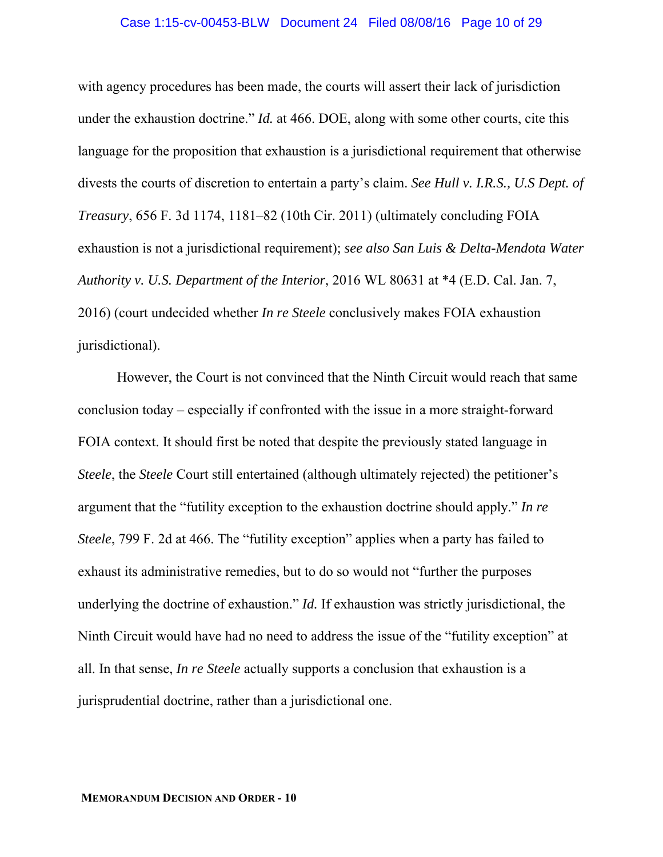#### Case 1:15-cv-00453-BLW Document 24 Filed 08/08/16 Page 10 of 29

with agency procedures has been made, the courts will assert their lack of jurisdiction under the exhaustion doctrine." *Id.* at 466. DOE, along with some other courts, cite this language for the proposition that exhaustion is a jurisdictional requirement that otherwise divests the courts of discretion to entertain a party's claim. *See Hull v. I.R.S., U.S Dept. of Treasury*, 656 F. 3d 1174, 1181–82 (10th Cir. 2011) (ultimately concluding FOIA exhaustion is not a jurisdictional requirement); *see also San Luis & Delta-Mendota Water Authority v. U.S. Department of the Interior*, 2016 WL 80631 at \*4 (E.D. Cal. Jan. 7, 2016) (court undecided whether *In re Steele* conclusively makes FOIA exhaustion jurisdictional).

However, the Court is not convinced that the Ninth Circuit would reach that same conclusion today – especially if confronted with the issue in a more straight-forward FOIA context. It should first be noted that despite the previously stated language in *Steele*, the *Steele* Court still entertained (although ultimately rejected) the petitioner's argument that the "futility exception to the exhaustion doctrine should apply." *In re Steele*, 799 F. 2d at 466. The "futility exception" applies when a party has failed to exhaust its administrative remedies, but to do so would not "further the purposes underlying the doctrine of exhaustion." *Id.* If exhaustion was strictly jurisdictional, the Ninth Circuit would have had no need to address the issue of the "futility exception" at all. In that sense, *In re Steele* actually supports a conclusion that exhaustion is a jurisprudential doctrine, rather than a jurisdictional one.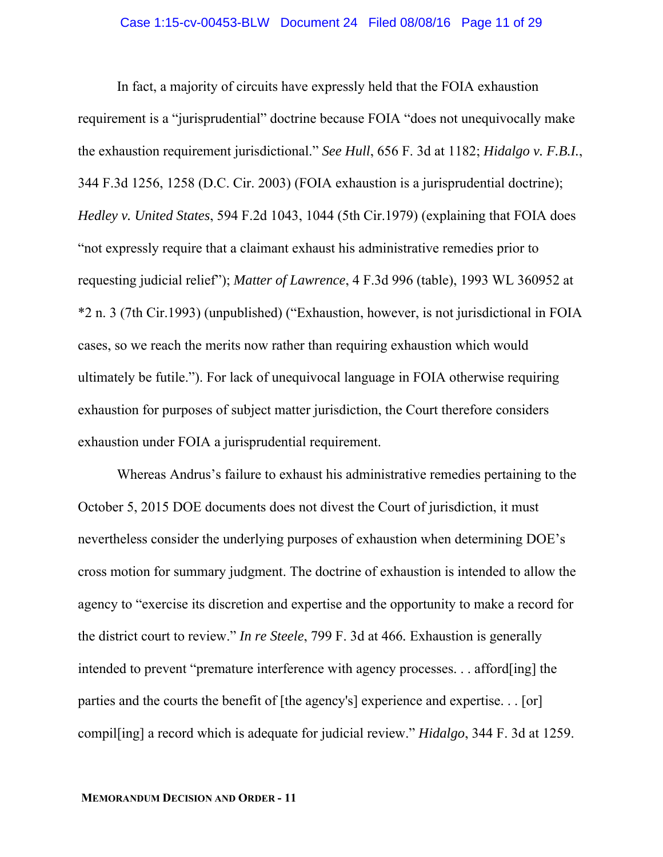In fact, a majority of circuits have expressly held that the FOIA exhaustion requirement is a "jurisprudential" doctrine because FOIA "does not unequivocally make the exhaustion requirement jurisdictional." *See Hull*, 656 F. 3d at 1182; *Hidalgo v. F.B.I.*, 344 F.3d 1256, 1258 (D.C. Cir. 2003) (FOIA exhaustion is a jurisprudential doctrine); *Hedley v. United States*, 594 F.2d 1043, 1044 (5th Cir.1979) (explaining that FOIA does "not expressly require that a claimant exhaust his administrative remedies prior to requesting judicial relief"); *Matter of Lawrence*, 4 F.3d 996 (table), 1993 WL 360952 at \*2 n. 3 (7th Cir.1993) (unpublished) ("Exhaustion, however, is not jurisdictional in FOIA cases, so we reach the merits now rather than requiring exhaustion which would ultimately be futile."). For lack of unequivocal language in FOIA otherwise requiring exhaustion for purposes of subject matter jurisdiction, the Court therefore considers exhaustion under FOIA a jurisprudential requirement.

Whereas Andrus's failure to exhaust his administrative remedies pertaining to the October 5, 2015 DOE documents does not divest the Court of jurisdiction, it must nevertheless consider the underlying purposes of exhaustion when determining DOE's cross motion for summary judgment. The doctrine of exhaustion is intended to allow the agency to "exercise its discretion and expertise and the opportunity to make a record for the district court to review." *In re Steele*, 799 F. 3d at 466*.* Exhaustion is generally intended to prevent "premature interference with agency processes. . . afford[ing] the parties and the courts the benefit of [the agency's] experience and expertise. . . [or] compil[ing] a record which is adequate for judicial review." *Hidalgo*, 344 F. 3d at 1259.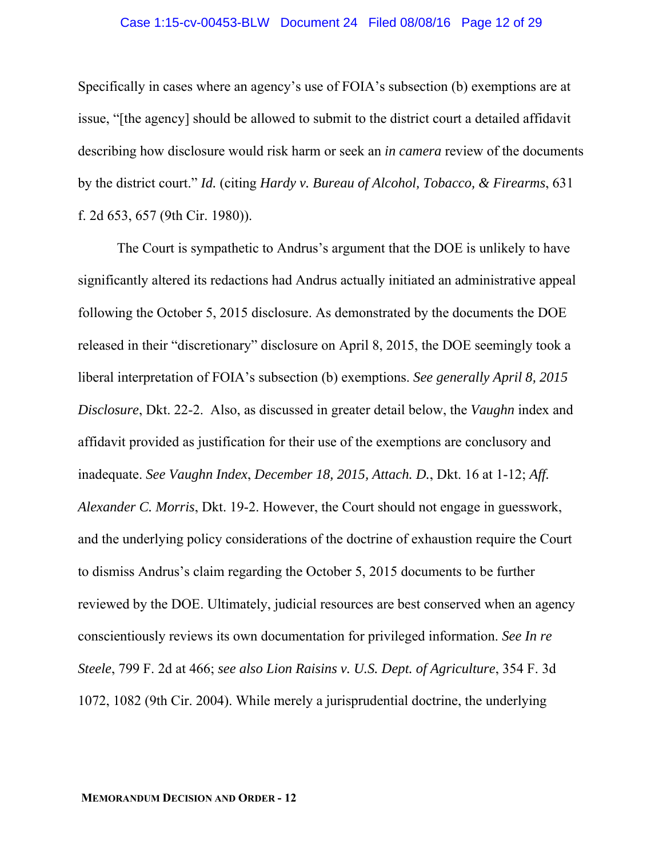#### Case 1:15-cv-00453-BLW Document 24 Filed 08/08/16 Page 12 of 29

Specifically in cases where an agency's use of FOIA's subsection (b) exemptions are at issue, "[the agency] should be allowed to submit to the district court a detailed affidavit describing how disclosure would risk harm or seek an *in camera* review of the documents by the district court." *Id.* (citing *Hardy v. Bureau of Alcohol, Tobacco, & Firearms*, 631 f. 2d 653, 657 (9th Cir. 1980)).

The Court is sympathetic to Andrus's argument that the DOE is unlikely to have significantly altered its redactions had Andrus actually initiated an administrative appeal following the October 5, 2015 disclosure. As demonstrated by the documents the DOE released in their "discretionary" disclosure on April 8, 2015, the DOE seemingly took a liberal interpretation of FOIA's subsection (b) exemptions. *See generally April 8, 2015 Disclosure*, Dkt. 22-2. Also, as discussed in greater detail below, the *Vaughn* index and affidavit provided as justification for their use of the exemptions are conclusory and inadequate. *See Vaughn Index*, *December 18, 2015, Attach. D.*, Dkt. 16 at 1-12; *Aff. Alexander C. Morris*, Dkt. 19-2. However, the Court should not engage in guesswork, and the underlying policy considerations of the doctrine of exhaustion require the Court to dismiss Andrus's claim regarding the October 5, 2015 documents to be further reviewed by the DOE. Ultimately, judicial resources are best conserved when an agency conscientiously reviews its own documentation for privileged information. *See In re Steele*, 799 F. 2d at 466; *see also Lion Raisins v. U.S. Dept. of Agriculture*, 354 F. 3d 1072, 1082 (9th Cir. 2004). While merely a jurisprudential doctrine, the underlying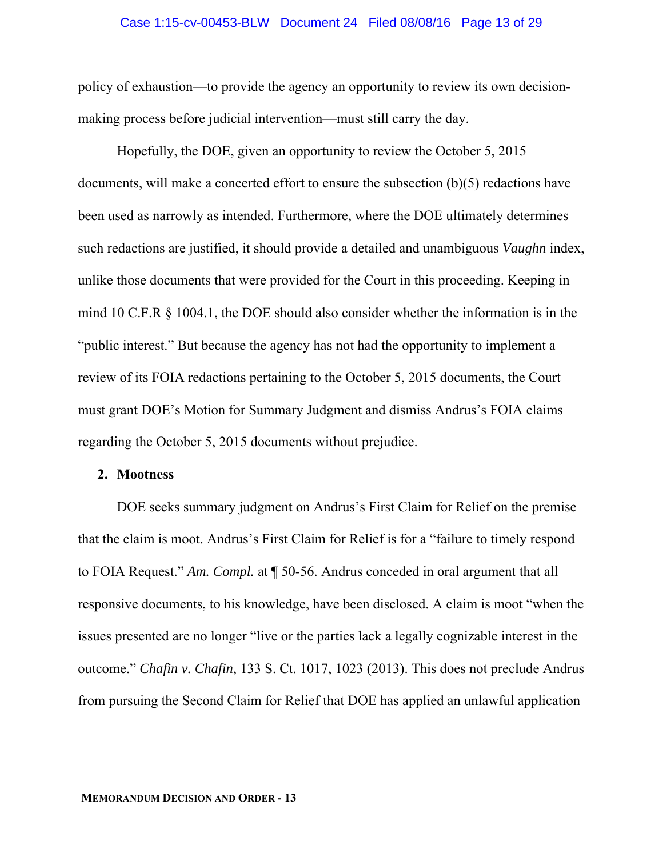#### Case 1:15-cv-00453-BLW Document 24 Filed 08/08/16 Page 13 of 29

policy of exhaustion—to provide the agency an opportunity to review its own decisionmaking process before judicial intervention—must still carry the day.

Hopefully, the DOE, given an opportunity to review the October 5, 2015 documents, will make a concerted effort to ensure the subsection (b)(5) redactions have been used as narrowly as intended. Furthermore, where the DOE ultimately determines such redactions are justified, it should provide a detailed and unambiguous *Vaughn* index, unlike those documents that were provided for the Court in this proceeding. Keeping in mind 10 C.F.R § 1004.1, the DOE should also consider whether the information is in the "public interest." But because the agency has not had the opportunity to implement a review of its FOIA redactions pertaining to the October 5, 2015 documents, the Court must grant DOE's Motion for Summary Judgment and dismiss Andrus's FOIA claims regarding the October 5, 2015 documents without prejudice.

#### **2. Mootness**

DOE seeks summary judgment on Andrus's First Claim for Relief on the premise that the claim is moot. Andrus's First Claim for Relief is for a "failure to timely respond to FOIA Request." *Am. Compl.* at ¶ 50-56. Andrus conceded in oral argument that all responsive documents, to his knowledge, have been disclosed. A claim is moot "when the issues presented are no longer "live or the parties lack a legally cognizable interest in the outcome." *Chafin v. Chafin*, 133 S. Ct. 1017, 1023 (2013). This does not preclude Andrus from pursuing the Second Claim for Relief that DOE has applied an unlawful application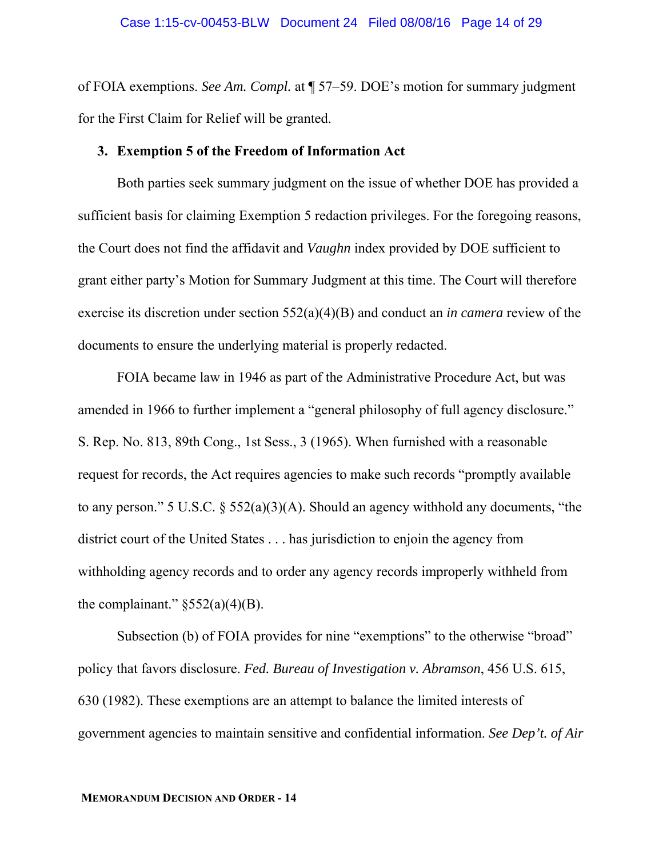of FOIA exemptions. *See Am. Compl.* at ¶ 57–59. DOE's motion for summary judgment for the First Claim for Relief will be granted.

### **3. Exemption 5 of the Freedom of Information Act**

Both parties seek summary judgment on the issue of whether DOE has provided a sufficient basis for claiming Exemption 5 redaction privileges. For the foregoing reasons, the Court does not find the affidavit and *Vaughn* index provided by DOE sufficient to grant either party's Motion for Summary Judgment at this time. The Court will therefore exercise its discretion under section 552(a)(4)(B) and conduct an *in camera* review of the documents to ensure the underlying material is properly redacted.

FOIA became law in 1946 as part of the Administrative Procedure Act, but was amended in 1966 to further implement a "general philosophy of full agency disclosure." S. Rep. No. 813, 89th Cong., 1st Sess., 3 (1965). When furnished with a reasonable request for records, the Act requires agencies to make such records "promptly available to any person." 5 U.S.C. § 552(a)(3)(A). Should an agency withhold any documents, "the district court of the United States . . . has jurisdiction to enjoin the agency from withholding agency records and to order any agency records improperly withheld from the complainant."  $\S 552(a)(4)(B)$ .

Subsection (b) of FOIA provides for nine "exemptions" to the otherwise "broad" policy that favors disclosure. *Fed. Bureau of Investigation v. Abramson*, 456 U.S. 615, 630 (1982). These exemptions are an attempt to balance the limited interests of government agencies to maintain sensitive and confidential information. *See Dep't. of Air*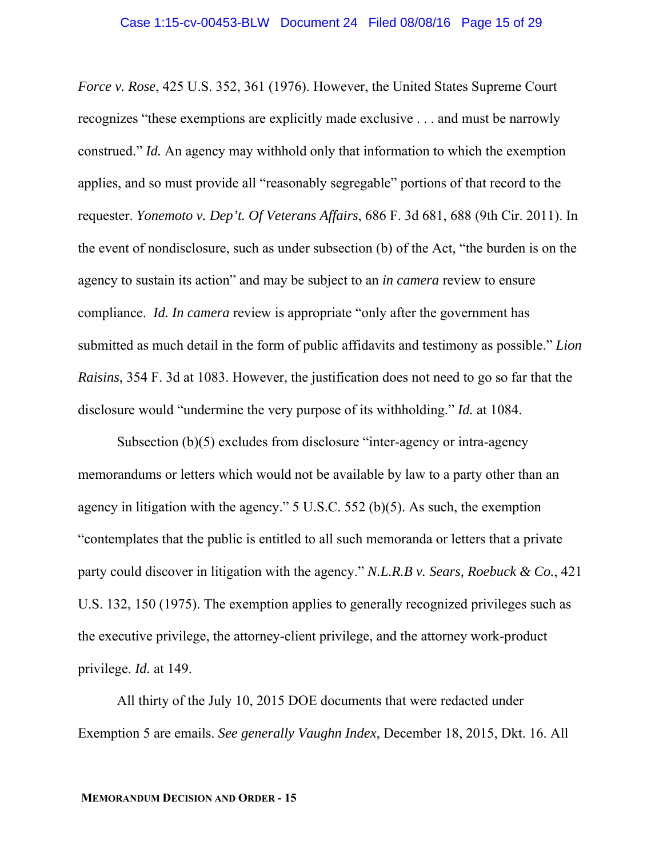*Force v. Rose*, 425 U.S. 352, 361 (1976). However, the United States Supreme Court recognizes "these exemptions are explicitly made exclusive . . . and must be narrowly construed." *Id.* An agency may withhold only that information to which the exemption applies, and so must provide all "reasonably segregable" portions of that record to the requester. *Yonemoto v. Dep't. Of Veterans Affairs*, 686 F. 3d 681, 688 (9th Cir. 2011). In the event of nondisclosure, such as under subsection (b) of the Act, "the burden is on the agency to sustain its action" and may be subject to an *in camera* review to ensure compliance. *Id. In camera* review is appropriate "only after the government has submitted as much detail in the form of public affidavits and testimony as possible." *Lion Raisins*, 354 F. 3d at 1083. However, the justification does not need to go so far that the disclosure would "undermine the very purpose of its withholding." *Id.* at 1084.

Subsection (b)(5) excludes from disclosure "inter-agency or intra-agency memorandums or letters which would not be available by law to a party other than an agency in litigation with the agency." 5 U.S.C. 552 (b)(5). As such, the exemption "contemplates that the public is entitled to all such memoranda or letters that a private party could discover in litigation with the agency." *N.L.R.B v. Sears, Roebuck & Co.*, 421 U.S. 132, 150 (1975). The exemption applies to generally recognized privileges such as the executive privilege, the attorney-client privilege, and the attorney work-product privilege. *Id.* at 149.

All thirty of the July 10, 2015 DOE documents that were redacted under Exemption 5 are emails. *See generally Vaughn Index*, December 18, 2015, Dkt. 16. All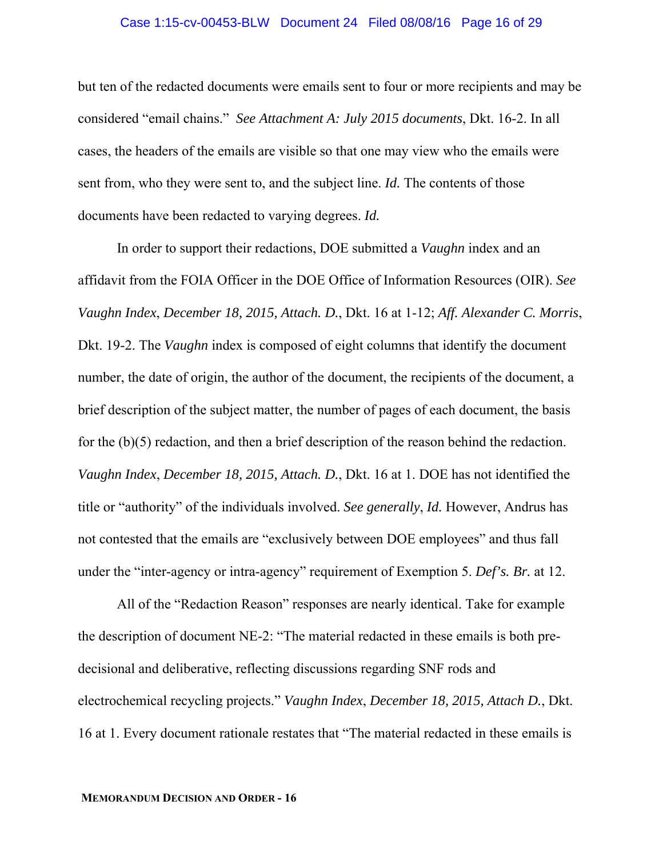#### Case 1:15-cv-00453-BLW Document 24 Filed 08/08/16 Page 16 of 29

but ten of the redacted documents were emails sent to four or more recipients and may be considered "email chains." *See Attachment A: July 2015 documents*, Dkt. 16-2. In all cases, the headers of the emails are visible so that one may view who the emails were sent from, who they were sent to, and the subject line. *Id.* The contents of those documents have been redacted to varying degrees. *Id.* 

In order to support their redactions, DOE submitted a *Vaughn* index and an affidavit from the FOIA Officer in the DOE Office of Information Resources (OIR). *See Vaughn Index*, *December 18, 2015, Attach. D.*, Dkt. 16 at 1-12; *Aff. Alexander C. Morris*, Dkt. 19-2. The *Vaughn* index is composed of eight columns that identify the document number, the date of origin, the author of the document, the recipients of the document, a brief description of the subject matter, the number of pages of each document, the basis for the (b)(5) redaction, and then a brief description of the reason behind the redaction. *Vaughn Index*, *December 18, 2015, Attach. D.*, Dkt. 16 at 1. DOE has not identified the title or "authority" of the individuals involved. *See generally*, *Id.* However, Andrus has not contested that the emails are "exclusively between DOE employees" and thus fall under the "inter-agency or intra-agency" requirement of Exemption 5. *Def's. Br.* at 12.

All of the "Redaction Reason" responses are nearly identical. Take for example the description of document NE-2: "The material redacted in these emails is both predecisional and deliberative, reflecting discussions regarding SNF rods and electrochemical recycling projects." *Vaughn Index*, *December 18, 2015, Attach D.*, Dkt. 16 at 1. Every document rationale restates that "The material redacted in these emails is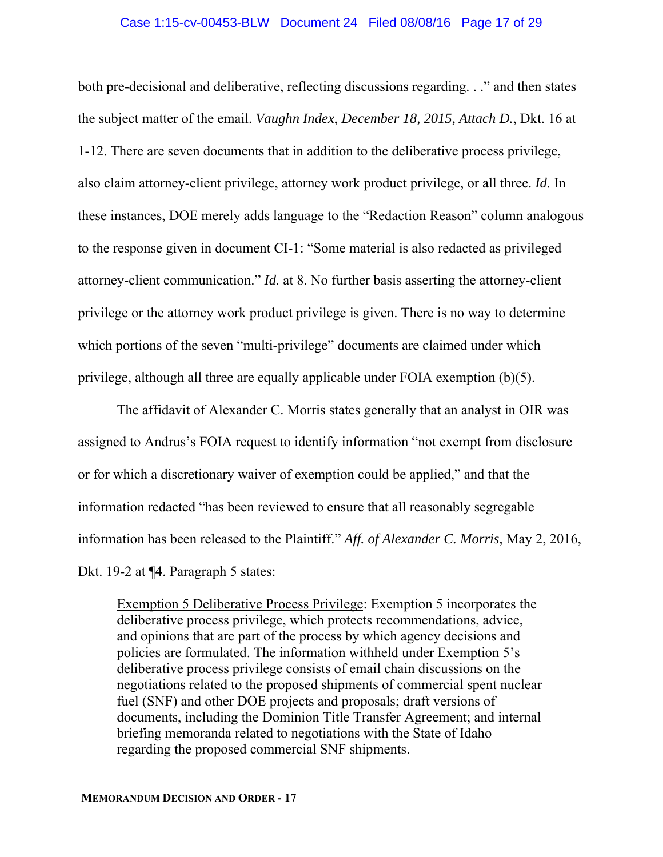#### Case 1:15-cv-00453-BLW Document 24 Filed 08/08/16 Page 17 of 29

both pre-decisional and deliberative, reflecting discussions regarding. . ." and then states the subject matter of the email. *Vaughn Index*, *December 18, 2015, Attach D.*, Dkt. 16 at 1-12. There are seven documents that in addition to the deliberative process privilege, also claim attorney-client privilege, attorney work product privilege, or all three. *Id.* In these instances, DOE merely adds language to the "Redaction Reason" column analogous to the response given in document CI-1: "Some material is also redacted as privileged attorney-client communication." *Id.* at 8. No further basis asserting the attorney-client privilege or the attorney work product privilege is given. There is no way to determine which portions of the seven "multi-privilege" documents are claimed under which privilege, although all three are equally applicable under FOIA exemption (b)(5).

The affidavit of Alexander C. Morris states generally that an analyst in OIR was assigned to Andrus's FOIA request to identify information "not exempt from disclosure or for which a discretionary waiver of exemption could be applied," and that the information redacted "has been reviewed to ensure that all reasonably segregable information has been released to the Plaintiff." *Aff. of Alexander C. Morris*, May 2, 2016, Dkt. 19-2 at ¶4. Paragraph 5 states:

Exemption 5 Deliberative Process Privilege: Exemption 5 incorporates the deliberative process privilege, which protects recommendations, advice, and opinions that are part of the process by which agency decisions and policies are formulated. The information withheld under Exemption 5's deliberative process privilege consists of email chain discussions on the negotiations related to the proposed shipments of commercial spent nuclear fuel (SNF) and other DOE projects and proposals; draft versions of documents, including the Dominion Title Transfer Agreement; and internal briefing memoranda related to negotiations with the State of Idaho regarding the proposed commercial SNF shipments.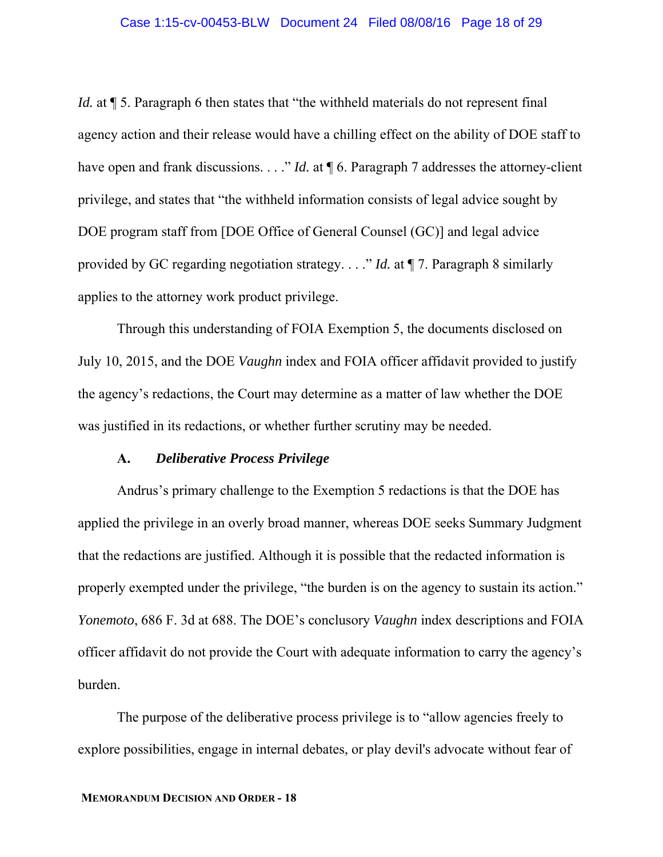*Id.* at  $\P$  5. Paragraph 6 then states that "the withheld materials do not represent final agency action and their release would have a chilling effect on the ability of DOE staff to have open and frank discussions. . . ." *Id.* at  $\P$  6. Paragraph 7 addresses the attorney-client privilege, and states that "the withheld information consists of legal advice sought by DOE program staff from [DOE Office of General Counsel (GC)] and legal advice provided by GC regarding negotiation strategy. . . ." *Id.* at ¶ 7. Paragraph 8 similarly applies to the attorney work product privilege.

Through this understanding of FOIA Exemption 5, the documents disclosed on July 10, 2015, and the DOE *Vaughn* index and FOIA officer affidavit provided to justify the agency's redactions, the Court may determine as a matter of law whether the DOE was justified in its redactions, or whether further scrutiny may be needed.

## **A.** *Deliberative Process Privilege*

Andrus's primary challenge to the Exemption 5 redactions is that the DOE has applied the privilege in an overly broad manner, whereas DOE seeks Summary Judgment that the redactions are justified. Although it is possible that the redacted information is properly exempted under the privilege, "the burden is on the agency to sustain its action." *Yonemoto*, 686 F. 3d at 688. The DOE's conclusory *Vaughn* index descriptions and FOIA officer affidavit do not provide the Court with adequate information to carry the agency's burden.

The purpose of the deliberative process privilege is to "allow agencies freely to explore possibilities, engage in internal debates, or play devil's advocate without fear of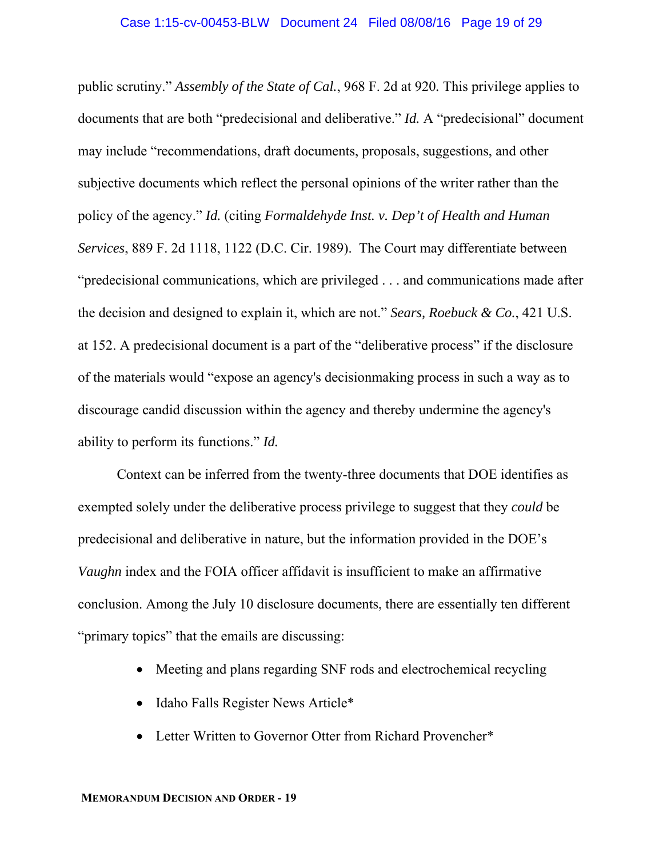public scrutiny." *Assembly of the State of Cal.*, 968 F. 2d at 920*.* This privilege applies to documents that are both "predecisional and deliberative." *Id.* A "predecisional" document may include "recommendations, draft documents, proposals, suggestions, and other subjective documents which reflect the personal opinions of the writer rather than the policy of the agency." *Id.* (citing *Formaldehyde Inst. v. Dep't of Health and Human Services*, 889 F. 2d 1118, 1122 (D.C. Cir. 1989). The Court may differentiate between "predecisional communications, which are privileged . . . and communications made after the decision and designed to explain it, which are not." *Sears, Roebuck & Co.*, 421 U.S. at 152. A predecisional document is a part of the "deliberative process" if the disclosure of the materials would "expose an agency's decisionmaking process in such a way as to discourage candid discussion within the agency and thereby undermine the agency's ability to perform its functions." *Id.* 

Context can be inferred from the twenty-three documents that DOE identifies as exempted solely under the deliberative process privilege to suggest that they *could* be predecisional and deliberative in nature, but the information provided in the DOE's *Vaughn* index and the FOIA officer affidavit is insufficient to make an affirmative conclusion. Among the July 10 disclosure documents, there are essentially ten different "primary topics" that the emails are discussing:

- Meeting and plans regarding SNF rods and electrochemical recycling
- Idaho Falls Register News Article\*
- Letter Written to Governor Otter from Richard Provencher\*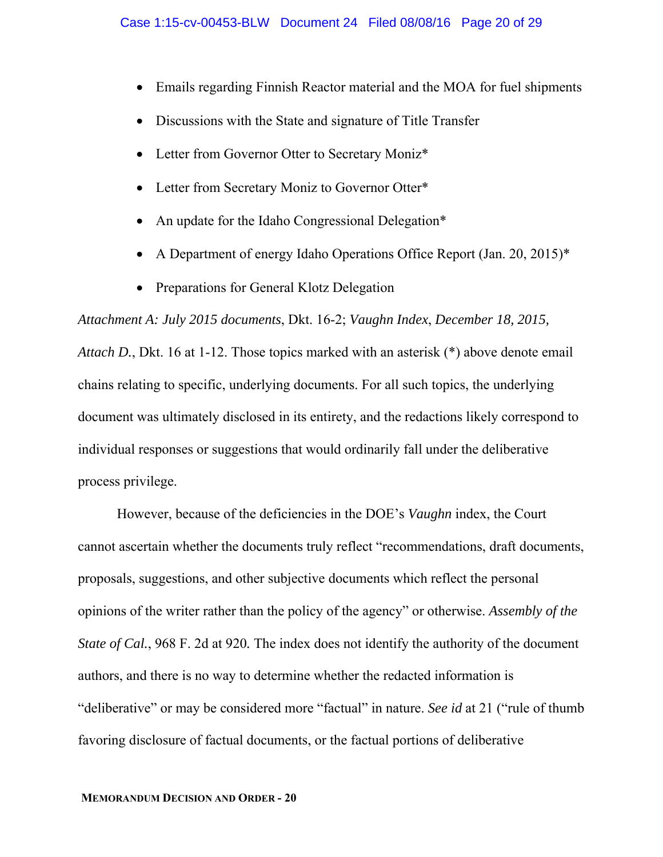- Emails regarding Finnish Reactor material and the MOA for fuel shipments
- Discussions with the State and signature of Title Transfer
- Letter from Governor Otter to Secretary Moniz<sup>\*</sup>
- Letter from Secretary Moniz to Governor Otter\*
- An update for the Idaho Congressional Delegation\*
- A Department of energy Idaho Operations Office Report (Jan. 20, 2015)\*
- Preparations for General Klotz Delegation

*Attachment A: July 2015 documents*, Dkt. 16-2; *Vaughn Index*, *December 18, 2015, Attach D.*, Dkt. 16 at 1-12. Those topics marked with an asterisk (\*) above denote email chains relating to specific, underlying documents. For all such topics, the underlying document was ultimately disclosed in its entirety, and the redactions likely correspond to individual responses or suggestions that would ordinarily fall under the deliberative process privilege.

However, because of the deficiencies in the DOE's *Vaughn* index, the Court cannot ascertain whether the documents truly reflect "recommendations, draft documents, proposals, suggestions, and other subjective documents which reflect the personal opinions of the writer rather than the policy of the agency" or otherwise. *Assembly of the State of Cal.*, 968 F. 2d at 920*.* The index does not identify the authority of the document authors, and there is no way to determine whether the redacted information is "deliberative" or may be considered more "factual" in nature. *See id* at 21 ("rule of thumb favoring disclosure of factual documents, or the factual portions of deliberative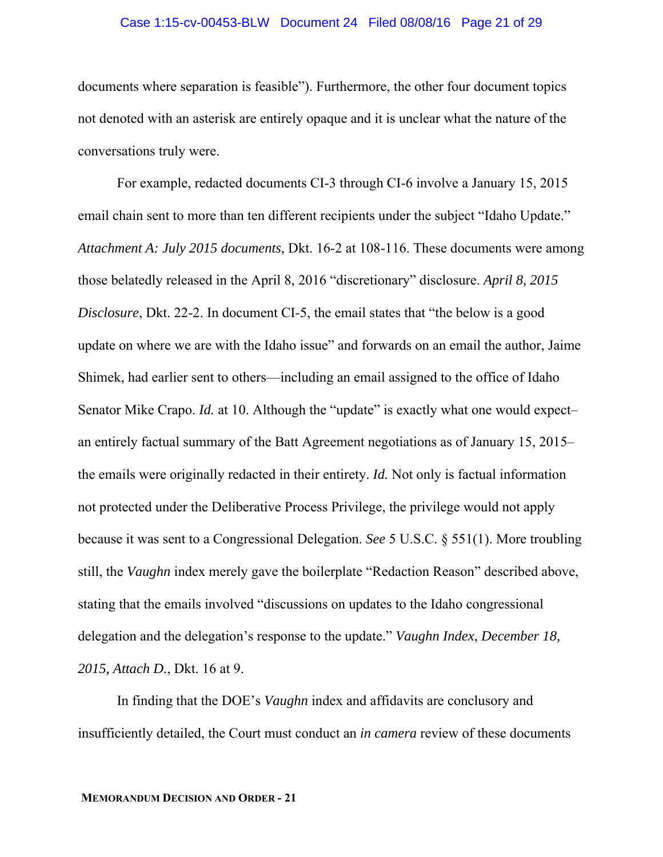#### Case 1:15-cv-00453-BLW Document 24 Filed 08/08/16 Page 21 of 29

documents where separation is feasible"). Furthermore, the other four document topics not denoted with an asterisk are entirely opaque and it is unclear what the nature of the conversations truly were.

 For example, redacted documents CI-3 through CI-6 involve a January 15, 2015 email chain sent to more than ten different recipients under the subject "Idaho Update." *Attachment A: July 2015 documents*, Dkt. 16-2 at 108-116. These documents were among those belatedly released in the April 8, 2016 "discretionary" disclosure. *April 8, 2015 Disclosure*, Dkt. 22-2. In document CI-5, the email states that "the below is a good update on where we are with the Idaho issue" and forwards on an email the author, Jaime Shimek, had earlier sent to others—including an email assigned to the office of Idaho Senator Mike Crapo. *Id.* at 10. Although the "update" is exactly what one would expectan entirely factual summary of the Batt Agreement negotiations as of January 15, 2015– the emails were originally redacted in their entirety. *Id.* Not only is factual information not protected under the Deliberative Process Privilege, the privilege would not apply because it was sent to a Congressional Delegation. *See* 5 U.S.C. § 551(1). More troubling still, the *Vaughn* index merely gave the boilerplate "Redaction Reason" described above, stating that the emails involved "discussions on updates to the Idaho congressional delegation and the delegation's response to the update." *Vaughn Index*, *December 18, 2015, Attach D.*, Dkt. 16 at 9.

In finding that the DOE's *Vaughn* index and affidavits are conclusory and insufficiently detailed, the Court must conduct an *in camera* review of these documents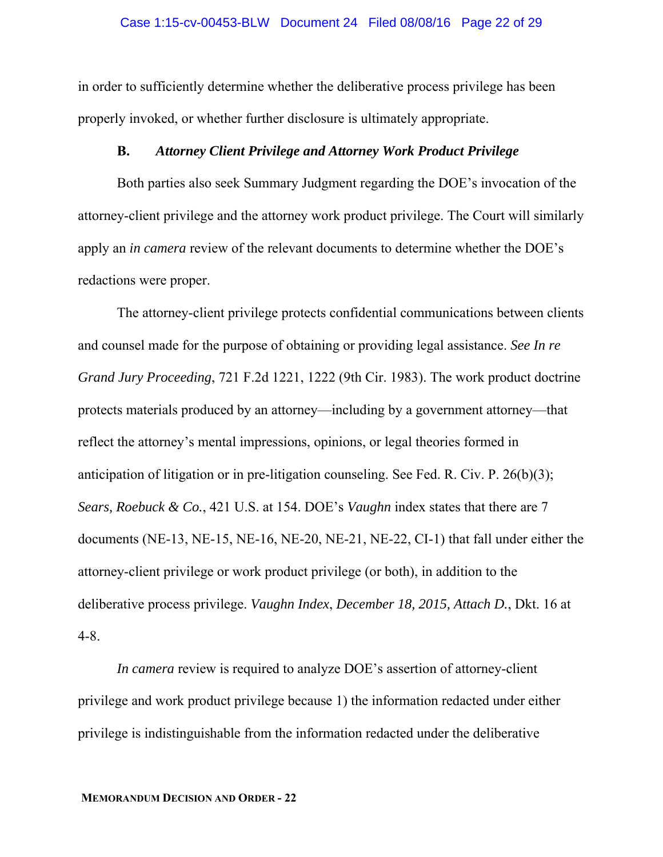in order to sufficiently determine whether the deliberative process privilege has been properly invoked, or whether further disclosure is ultimately appropriate.

### **B.** *Attorney Client Privilege and Attorney Work Product Privilege*

Both parties also seek Summary Judgment regarding the DOE's invocation of the attorney-client privilege and the attorney work product privilege. The Court will similarly apply an *in camera* review of the relevant documents to determine whether the DOE's redactions were proper.

The attorney-client privilege protects confidential communications between clients and counsel made for the purpose of obtaining or providing legal assistance. *See In re Grand Jury Proceeding*, 721 F.2d 1221, 1222 (9th Cir. 1983). The work product doctrine protects materials produced by an attorney—including by a government attorney—that reflect the attorney's mental impressions, opinions, or legal theories formed in anticipation of litigation or in pre-litigation counseling. See Fed. R. Civ. P. 26(b)(3); *Sears, Roebuck & Co.*, 421 U.S. at 154. DOE's *Vaughn* index states that there are 7 documents (NE-13, NE-15, NE-16, NE-20, NE-21, NE-22, CI-1) that fall under either the attorney-client privilege or work product privilege (or both), in addition to the deliberative process privilege. *Vaughn Index*, *December 18, 2015, Attach D.*, Dkt. 16 at 4-8.

*In camera* review is required to analyze DOE's assertion of attorney-client privilege and work product privilege because 1) the information redacted under either privilege is indistinguishable from the information redacted under the deliberative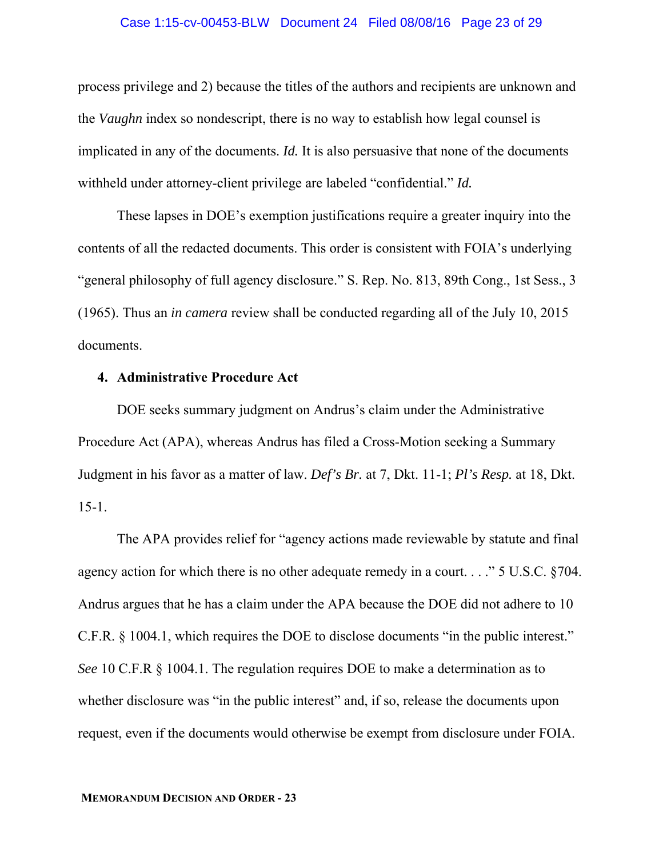#### Case 1:15-cv-00453-BLW Document 24 Filed 08/08/16 Page 23 of 29

process privilege and 2) because the titles of the authors and recipients are unknown and the *Vaughn* index so nondescript, there is no way to establish how legal counsel is implicated in any of the documents. *Id.* It is also persuasive that none of the documents withheld under attorney-client privilege are labeled "confidential." *Id.*

These lapses in DOE's exemption justifications require a greater inquiry into the contents of all the redacted documents. This order is consistent with FOIA's underlying "general philosophy of full agency disclosure." S. Rep. No. 813, 89th Cong., 1st Sess., 3 (1965). Thus an *in camera* review shall be conducted regarding all of the July 10, 2015 documents.

### **4. Administrative Procedure Act**

DOE seeks summary judgment on Andrus's claim under the Administrative Procedure Act (APA), whereas Andrus has filed a Cross-Motion seeking a Summary Judgment in his favor as a matter of law. *Def's Br.* at 7, Dkt. 11-1; *Pl's Resp.* at 18, Dkt. 15-1.

The APA provides relief for "agency actions made reviewable by statute and final agency action for which there is no other adequate remedy in a court. . . ." 5 U.S.C. §704. Andrus argues that he has a claim under the APA because the DOE did not adhere to 10 C.F.R. § 1004.1, which requires the DOE to disclose documents "in the public interest." *See* 10 C.F.R § 1004.1. The regulation requires DOE to make a determination as to whether disclosure was "in the public interest" and, if so, release the documents upon request, even if the documents would otherwise be exempt from disclosure under FOIA.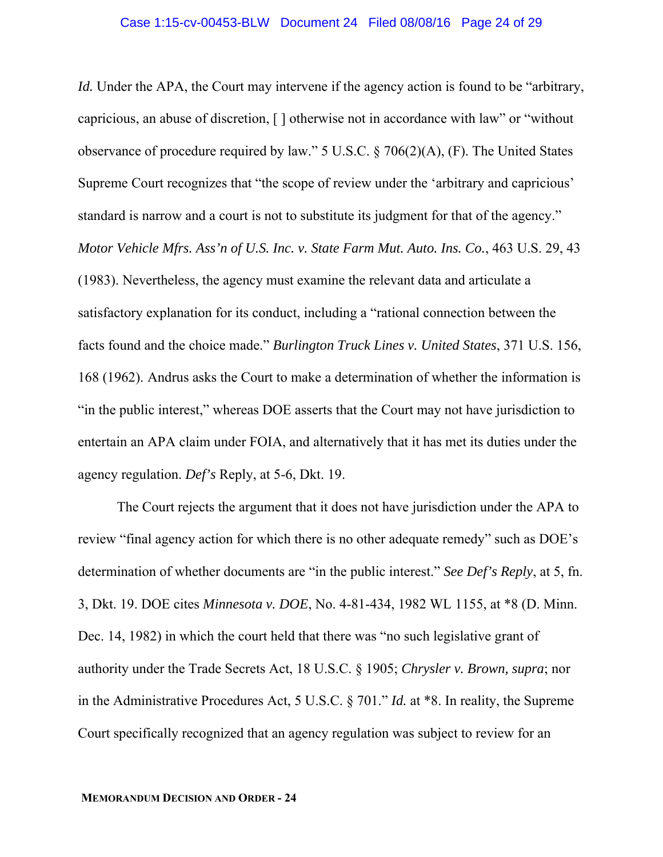*Id.* Under the APA, the Court may intervene if the agency action is found to be "arbitrary, capricious, an abuse of discretion, [ ] otherwise not in accordance with law" or "without observance of procedure required by law." 5 U.S.C. § 706(2)(A), (F). The United States Supreme Court recognizes that "the scope of review under the 'arbitrary and capricious' standard is narrow and a court is not to substitute its judgment for that of the agency." *Motor Vehicle Mfrs. Ass'n of U.S. Inc. v. State Farm Mut. Auto. Ins. Co.*, 463 U.S. 29, 43 (1983). Nevertheless, the agency must examine the relevant data and articulate a satisfactory explanation for its conduct, including a "rational connection between the facts found and the choice made." *Burlington Truck Lines v. United States*, 371 U.S. 156, 168 (1962). Andrus asks the Court to make a determination of whether the information is "in the public interest," whereas DOE asserts that the Court may not have jurisdiction to entertain an APA claim under FOIA, and alternatively that it has met its duties under the agency regulation. *Def's* Reply, at 5-6, Dkt. 19.

The Court rejects the argument that it does not have jurisdiction under the APA to review "final agency action for which there is no other adequate remedy" such as DOE's determination of whether documents are "in the public interest." *See Def's Reply*, at 5, fn. 3, Dkt. 19. DOE cites *Minnesota v. DOE*, No. 4-81-434, 1982 WL 1155, at \*8 (D. Minn. Dec. 14, 1982) in which the court held that there was "no such legislative grant of authority under the Trade Secrets Act, 18 U.S.C. § 1905; *Chrysler v. Brown, supra*; nor in the Administrative Procedures Act, 5 U.S.C. § 701." *Id.* at \*8. In reality, the Supreme Court specifically recognized that an agency regulation was subject to review for an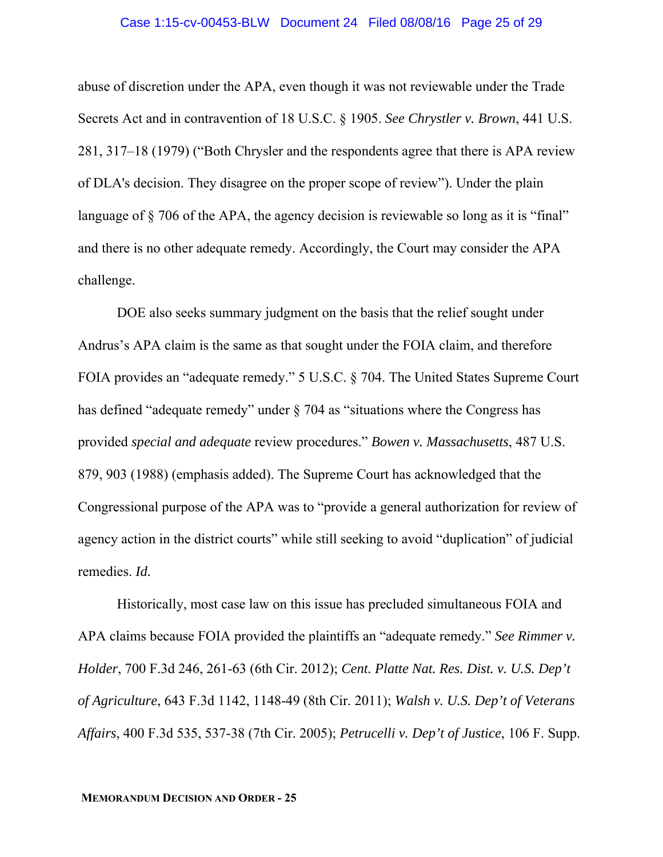#### Case 1:15-cv-00453-BLW Document 24 Filed 08/08/16 Page 25 of 29

abuse of discretion under the APA, even though it was not reviewable under the Trade Secrets Act and in contravention of 18 U.S.C. § 1905. *See Chrystler v. Brown*, 441 U.S. 281, 317–18 (1979) ("Both Chrysler and the respondents agree that there is APA review of DLA's decision. They disagree on the proper scope of review"). Under the plain language of  $\S$  706 of the APA, the agency decision is reviewable so long as it is "final" and there is no other adequate remedy. Accordingly, the Court may consider the APA challenge.

DOE also seeks summary judgment on the basis that the relief sought under Andrus's APA claim is the same as that sought under the FOIA claim, and therefore FOIA provides an "adequate remedy." 5 U.S.C. § 704. The United States Supreme Court has defined "adequate remedy" under § 704 as "situations where the Congress has provided *special and adequate* review procedures." *Bowen v. Massachusetts*, 487 U.S. 879, 903 (1988) (emphasis added). The Supreme Court has acknowledged that the Congressional purpose of the APA was to "provide a general authorization for review of agency action in the district courts" while still seeking to avoid "duplication" of judicial remedies. *Id.*

Historically, most case law on this issue has precluded simultaneous FOIA and APA claims because FOIA provided the plaintiffs an "adequate remedy." *See Rimmer v. Holder*, 700 F.3d 246, 261-63 (6th Cir. 2012); *Cent. Platte Nat. Res. Dist. v. U.S. Dep't of Agriculture*, 643 F.3d 1142, 1148-49 (8th Cir. 2011); *Walsh v. U.S. Dep't of Veterans Affairs*, 400 F.3d 535, 537-38 (7th Cir. 2005); *Petrucelli v. Dep't of Justice*, 106 F. Supp.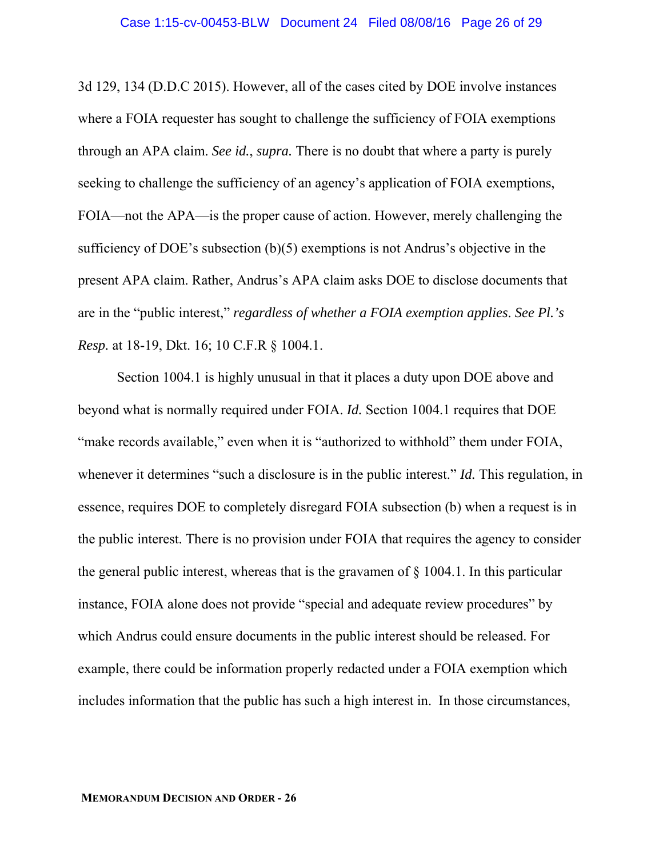3d 129, 134 (D.D.C 2015). However, all of the cases cited by DOE involve instances where a FOIA requester has sought to challenge the sufficiency of FOIA exemptions through an APA claim. *See id.*, *supra.* There is no doubt that where a party is purely seeking to challenge the sufficiency of an agency's application of FOIA exemptions, FOIA—not the APA—is the proper cause of action. However, merely challenging the sufficiency of DOE's subsection (b)(5) exemptions is not Andrus's objective in the present APA claim. Rather, Andrus's APA claim asks DOE to disclose documents that are in the "public interest," *regardless of whether a FOIA exemption applies*. *See Pl.'s Resp.* at 18-19, Dkt. 16; 10 C.F.R § 1004.1.

Section 1004.1 is highly unusual in that it places a duty upon DOE above and beyond what is normally required under FOIA. *Id.* Section 1004.1 requires that DOE "make records available," even when it is "authorized to withhold" them under FOIA, whenever it determines "such a disclosure is in the public interest." *Id.* This regulation, in essence, requires DOE to completely disregard FOIA subsection (b) when a request is in the public interest. There is no provision under FOIA that requires the agency to consider the general public interest, whereas that is the gravamen of § 1004.1. In this particular instance, FOIA alone does not provide "special and adequate review procedures" by which Andrus could ensure documents in the public interest should be released. For example, there could be information properly redacted under a FOIA exemption which includes information that the public has such a high interest in. In those circumstances,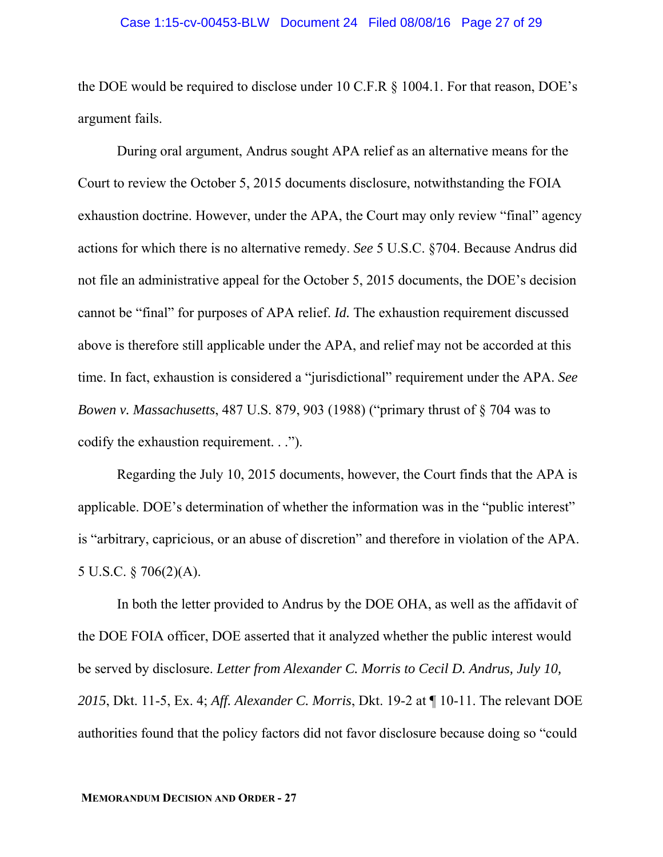#### Case 1:15-cv-00453-BLW Document 24 Filed 08/08/16 Page 27 of 29

the DOE would be required to disclose under 10 C.F.R § 1004.1. For that reason, DOE's argument fails.

During oral argument, Andrus sought APA relief as an alternative means for the Court to review the October 5, 2015 documents disclosure, notwithstanding the FOIA exhaustion doctrine. However, under the APA, the Court may only review "final" agency actions for which there is no alternative remedy. *See* 5 U.S.C. §704. Because Andrus did not file an administrative appeal for the October 5, 2015 documents, the DOE's decision cannot be "final" for purposes of APA relief. *Id.* The exhaustion requirement discussed above is therefore still applicable under the APA, and relief may not be accorded at this time. In fact, exhaustion is considered a "jurisdictional" requirement under the APA. *See Bowen v. Massachusetts*, 487 U.S. 879, 903 (1988) ("primary thrust of § 704 was to codify the exhaustion requirement. . .").

Regarding the July 10, 2015 documents, however, the Court finds that the APA is applicable. DOE's determination of whether the information was in the "public interest" is "arbitrary, capricious, or an abuse of discretion" and therefore in violation of the APA. 5 U.S.C. § 706(2)(A).

In both the letter provided to Andrus by the DOE OHA, as well as the affidavit of the DOE FOIA officer, DOE asserted that it analyzed whether the public interest would be served by disclosure. *Letter from Alexander C. Morris to Cecil D. Andrus, July 10, 2015*, Dkt. 11-5, Ex. 4; *Aff. Alexander C. Morris*, Dkt. 19-2 at ¶ 10-11. The relevant DOE authorities found that the policy factors did not favor disclosure because doing so "could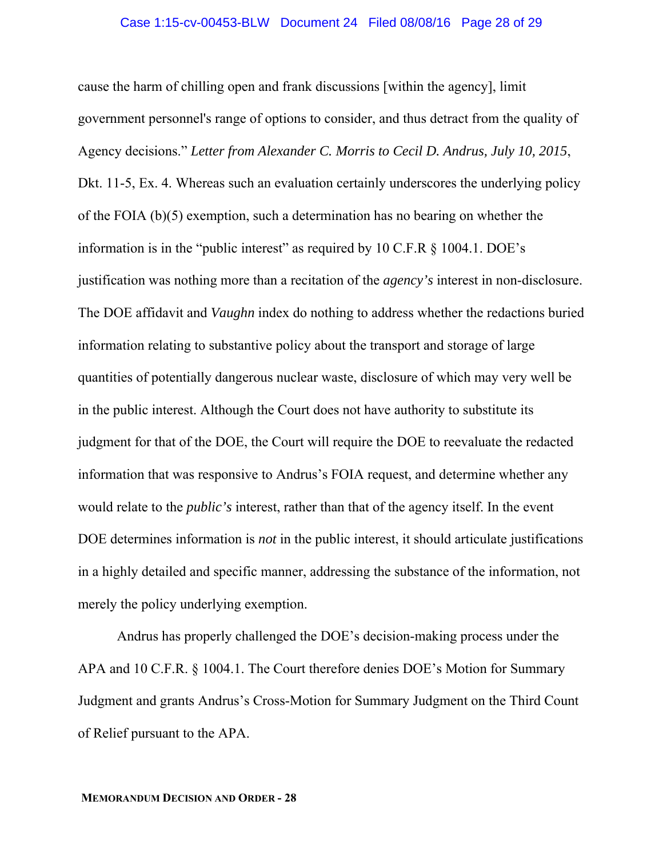#### Case 1:15-cv-00453-BLW Document 24 Filed 08/08/16 Page 28 of 29

cause the harm of chilling open and frank discussions [within the agency], limit government personnel's range of options to consider, and thus detract from the quality of Agency decisions." *Letter from Alexander C. Morris to Cecil D. Andrus, July 10, 2015*, Dkt. 11-5, Ex. 4. Whereas such an evaluation certainly underscores the underlying policy of the FOIA (b)(5) exemption, such a determination has no bearing on whether the information is in the "public interest" as required by  $10 \text{ C.F.R} \$  \$  $1004.1$ . DOE's justification was nothing more than a recitation of the *agency's* interest in non-disclosure. The DOE affidavit and *Vaughn* index do nothing to address whether the redactions buried information relating to substantive policy about the transport and storage of large quantities of potentially dangerous nuclear waste, disclosure of which may very well be in the public interest. Although the Court does not have authority to substitute its judgment for that of the DOE, the Court will require the DOE to reevaluate the redacted information that was responsive to Andrus's FOIA request, and determine whether any would relate to the *public's* interest, rather than that of the agency itself. In the event DOE determines information is *not* in the public interest, it should articulate justifications in a highly detailed and specific manner, addressing the substance of the information, not merely the policy underlying exemption.

Andrus has properly challenged the DOE's decision-making process under the APA and 10 C.F.R. § 1004.1. The Court therefore denies DOE's Motion for Summary Judgment and grants Andrus's Cross-Motion for Summary Judgment on the Third Count of Relief pursuant to the APA.